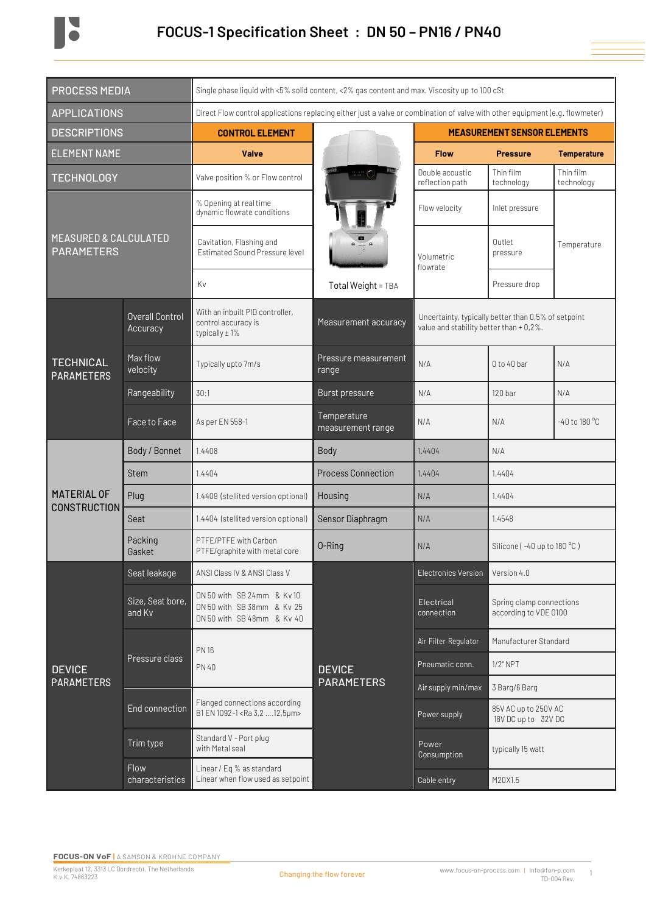

| <b>PROCESS MEDIA</b>                                  |                                    | Single phase liquid with <5% solid content, <2% gas content and max. Viscosity up to 100 cSt                                 |                                    |                                    |                                                                                                |                         |  |  |
|-------------------------------------------------------|------------------------------------|------------------------------------------------------------------------------------------------------------------------------|------------------------------------|------------------------------------|------------------------------------------------------------------------------------------------|-------------------------|--|--|
| <b>APPLICATIONS</b>                                   |                                    | Direct Flow control applications replacing either just a valve or combination of valve with other equipment (e.g. flowmeter) |                                    |                                    |                                                                                                |                         |  |  |
| <b>DESCRIPTIONS</b>                                   |                                    | <b>CONTROL ELEMENT</b>                                                                                                       |                                    | <b>MEASUREMENT SENSOR ELEMENTS</b> |                                                                                                |                         |  |  |
| <b>ELEMENT NAME</b>                                   |                                    | <b>Valve</b>                                                                                                                 |                                    | <b>Flow</b>                        | <b>Pressure</b>                                                                                | <b>Temperature</b>      |  |  |
| <b>TECHNOLOGY</b>                                     |                                    | Valve position % or Flow control                                                                                             |                                    | Double acoustic<br>reflection path | Thin film<br>technology                                                                        | Thin film<br>technology |  |  |
| <b>MEASURED &amp; CALCULATED</b><br><b>PARAMETERS</b> |                                    | % Opening at real time<br>dynamic flowrate conditions                                                                        |                                    | Flow velocity                      | Inlet pressure                                                                                 |                         |  |  |
|                                                       |                                    | Cavitation, Flashing and<br>Estimated Sound Pressure level                                                                   |                                    | Volumetric<br>flowrate             | Outlet<br>pressure                                                                             | Temperature             |  |  |
|                                                       |                                    | Kv                                                                                                                           | Total Weight = TBA                 |                                    | Pressure drop                                                                                  |                         |  |  |
| <b>TECHNICAL</b><br><b>PARAMETERS</b>                 | <b>Overall Control</b><br>Accuracy | With an inbuilt PID controller,<br>control accuracy is<br>typically $\pm$ 1%                                                 | Measurement accuracy               |                                    | Uncertainty, typically better than 0,5% of setpoint<br>value and stability better than + 0,2%. |                         |  |  |
|                                                       | Max flow<br>velocity               | Typically upto 7m/s                                                                                                          | Pressure measurement<br>range      | N/A                                | $0$ to 40 bar                                                                                  | N/A                     |  |  |
|                                                       | Rangeability                       | 30:1                                                                                                                         | Burst pressure                     | N/A                                | 120 bar                                                                                        | N/A                     |  |  |
|                                                       | Face to Face                       | As per EN 558-1                                                                                                              | Temperature<br>measurement range   | N/A                                | N/A                                                                                            | -40 to 180 °C           |  |  |
| MATERIAL OF<br><b>CONSTRUCTION</b>                    | Body / Bonnet                      | 1.4408                                                                                                                       | Body                               | 1.4404                             | N/A                                                                                            |                         |  |  |
|                                                       | Stem                               | 1.4404                                                                                                                       | <b>Process Connection</b>          | 1.4404                             | 1.4404                                                                                         |                         |  |  |
|                                                       | Plug                               | 1.4409 (stellited version optional)                                                                                          | Housing                            | N/A                                | 1.4404                                                                                         |                         |  |  |
|                                                       | Seat                               | 1.4404 (stellited version optional)                                                                                          | Sensor Diaphragm                   | N/A                                | 1.4548                                                                                         |                         |  |  |
|                                                       | Packing<br>Gasket                  | PTFE/PTFE with Carbon<br>PTFE/graphite with metal core                                                                       | 0-Ring                             | N/A                                | Silicone (-40 up to 180 °C)                                                                    |                         |  |  |
| <b>DEVICE</b><br><b>PARAMETERS</b>                    | Seat leakage                       | ANSI Class IV & ANSI Class V                                                                                                 |                                    | <b>Electronics Version</b>         | Version 4.0                                                                                    |                         |  |  |
|                                                       | Size, Seat bore,<br>and Kv         | DN 50 with SB 24mm & Kv 10<br>DN 50 with SB 38mm & Ky 25<br>DN 50 with SB 48mm & Kv 40                                       |                                    | Electrical<br>connection           | Spring clamp connections<br>according to VDE 0100                                              |                         |  |  |
|                                                       | Pressure class                     | <b>PN16</b>                                                                                                                  | <b>DEVICE</b><br><b>PARAMETERS</b> | Air Filter Regulator               | Manufacturer Standard                                                                          |                         |  |  |
|                                                       |                                    | <b>PN 40</b>                                                                                                                 |                                    | Pneumatic conn.                    | $1/2$ " NPT                                                                                    |                         |  |  |
|                                                       |                                    | Flanged connections according<br>B1 EN 1092-1 <ra 12,5µm="" 3,2=""></ra>                                                     |                                    | Air supply min/max                 | 3 Barg/6 Barg                                                                                  |                         |  |  |
|                                                       | End connection                     |                                                                                                                              |                                    | Power supply                       | 85V AC up to 250V AC<br>18V DC up to 32V DC                                                    |                         |  |  |
|                                                       | Trim type                          | Standard V - Port plug<br>with Metal seal                                                                                    |                                    | Power<br>Consumption               | typically 15 watt                                                                              |                         |  |  |
|                                                       | Flow<br>characteristics            | Linear / Eq % as standard<br>Linear when flow used as setpoint                                                               |                                    | Cable entry                        | M20X1.5                                                                                        |                         |  |  |

1